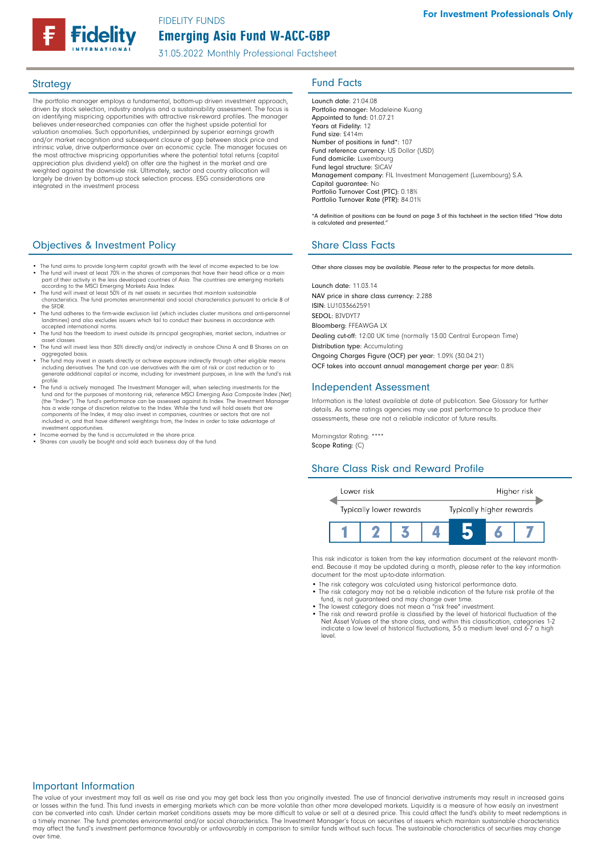# Emerging Asia Fund W-ACC-GBP FIDELITY FUNDS

31.05.2022 Monthly Professional Factsheet

The portfolio manager employs a fundamental, bottom-up driven investment approach, driven by stock selection, industry analysis and a sustainability assessment. The focus is on identifying mispricing opportunities with attractive risk-reward profiles. The manager believes under-researched companies can offer the highest upside potential for valuation anomalies. Such opportunities, underpinned by superior earnings growth and/or market recognition and subsequent closure of gap between stock price and intrinsic value, drive outperformance over an economic cycle. The manager focuses on the most attractive mispricing opportunities where the potential total returns (capital appreciation plus dividend yield) on offer are the highest in the market and are weighted against the downside risk. Ultimately, sector and country allocation will largely be driven by bottom-up stock selection process. ESG considerations are integrated in the investment process

# **Objectives & Investment Policy Share Class Facts** Share Class Facts

- The fund aims to provide long-term capital growth with the level of income expected to be low. • The fund will invest at least 70% in the shares of companies that have their head office or a main part of their activity in the less developed countries of Asia. The countries are emerging markets
- according to the MSCI Emerging Markets Asia Index.<br>• The fund will invest at least 50% of its net assets in securities that maintain sustainable<br>- Characteristics. The fund promotes environmental and social characteristics
- the SFDR. The fund adheres to the firm-wide exclusion list (which includes cluster munitions and anti-person landmines) and also excludes issuers which fail to conduct their business in accordance with
- accepted international norms. • The fund has the freedom to invest outside its principal geographies, market sectors, industries or
- asset classes.
- The fund will invest less than 30% directly and/or indirectly in onshore China A and B Shares on an aggregated basis. • The fund may invest in assets directly or achieve exposure indirectly through other eligible means
- including derivatives. The fund can use derivatives with the aim of risk or cost reduction or to including derivatives. The fund can use derivatives with the aim of risk or cost reduction or to generate additional capital or income, including for investment purposes, in line with the fund's risk
- profile.<br>
 The Inval is actively managed. The Investment Manager will, when selecting investments for the<br>
fund and for the purposes of monitoring risk, reference MSCI Emerging Asia Composite Index (Net)<br>
(the "Index"). T components of the Index, it may also invest in companies, countries or sectors that are not included in, and that have different weightings from, the Index in order to take advantage of investment opportunities.
- 
- Income earned by the fund is accumulated in the share price. Shares can usually be bought and sold each business day of the fund.

# Strategy **Fund Facts**

Launch date: 21.04.08 Portfolio manager: Madeleine Kuang Appointed to fund: 01.07.21 Years at Fidelity: 12 Fund size: £414m Number of positions in fund\*: 107 Fund reference currency: US Dollar (USD) Fund domicile: Luxembourg Fund legal structure: SICAV Management company: FIL Investment Management (Luxembourg) S.A. Capital guarantee: No Portfolio Turnover Cost (PTC): 0.18% Portfolio Turnover Rate (PTR): 84.01%

\*A definition of positions can be found on page 3 of this factsheet in the section titled "How data is calculated and presented."

Other share classes may be available. Please refer to the prospectus for more details.

Launch date: 11.03.14 NAV price in share class currency: 2.288 ISIN: LU1033662591 SEDOL: BJVDYT7 Bloomberg: FFEAWGA LX Dealing cut-off: 12:00 UK time (normally 13:00 Central European Time) Distribution type: Accumulating Ongoing Charges Figure (OCF) per year: 1.09% (30.04.21) OCF takes into account annual management charge per year: 0.8%

#### Independent Assessment

Information is the latest available at date of publication. See Glossary for further details. As some ratings agencies may use past performance to produce their assessments, these are not a reliable indicator of future results.

Morningstar Rating: \*\*\*\* Scope Rating: (C)

#### Share Class Risk and Reward Profile



This risk indicator is taken from the key information document at the relevant monthend. Because it may be updated during a month, please refer to the key information document for the most up-to-date information.

- The risk category was calculated using historical performance data.
- The risk category may not be a reliable indication of the future risk profile of the fund, is not guaranteed and may change over time.
- 
- The lowest category does not mean a "risk free" investment. The risk and reward profile is classified by the level of historical fluctuation of the Net Asset Values of the share class, and within this classification, categories 1-2 indicate a low level of historical fluctuations, 3-5 a medium level and 6-7 a high level.

#### Important Information

The value of your investment may fall as well as rise and you may get back less than you originally invested. The use of financial derivative instruments may result in increased gains or losses within the fund. This fund invests in emerging markets which can be more volatile than other more developed markets. Liquidity is a measure of how easily an investment<br>can be converted into cash. Under certain ma a timely manner. The fund promotes environmental and/or social characteristics. The Investment Manager's focus on securities of issuers which maintain sustainable characteristics may affect the fund's investment performance favourably or unfavourably in comparison to similar funds without such focus. The sustainable characteristics of securities may change over time.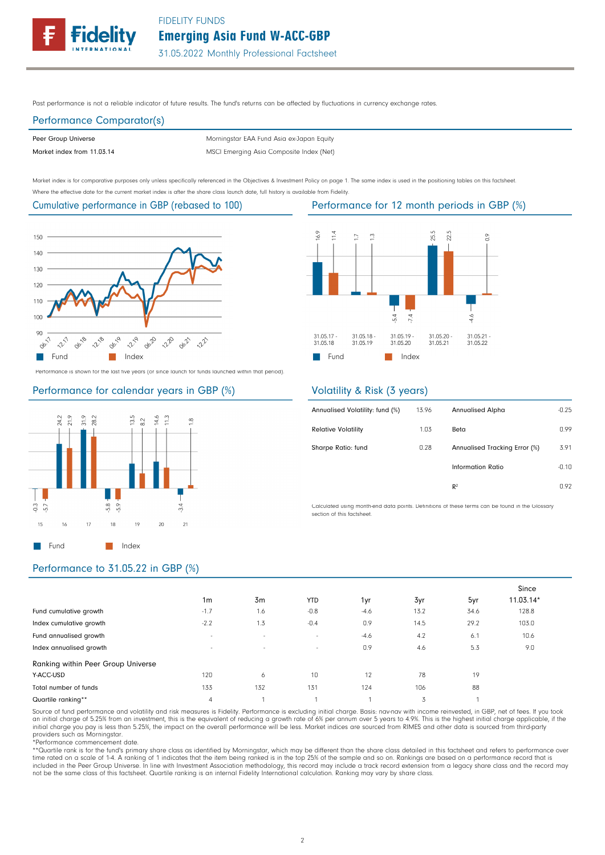Emerging Asia Fund W-ACC-GBP



Past performance is not a reliable indicator of future results. The fund's returns can be affected by fluctuations in currency exchange rates.

# Performance Comparator(s)

Peer Group Universe

Market index from 11.03.14 MSCI Emerging Asia Composite Index (Net) Morningstar EAA Fund Asia ex-Japan Equity

Market index is for comparative purposes only unless specifically referenced in the Objectives & Investment Policy on page 1. The same index is used in the positioning tables on this factsheet. Where the effective date for the current market index is after the share class launch date, full history is available from Fidelity.

#### Cumulative performance in GBP (rebased to 100)



Performance is shown for the last five years (or since launch for funds launched within that period).

#### Performance for calendar years in GBP (%)



#### 16.9  $\frac{1}{4}$  $\overline{C}$  $\tilde{c}$ 25.5 22.5  $\tilde{C}$  $\overline{7.4}$  $4.6$  $5.4$ 31.05.17<br>31.05.18 31.05.18<br>31.05.19 31.05.19 31.05.21<br>31.05.22 31.05.20 31.05.20 31.05.21 **Fund** Index

### Volatility & Risk (3 years)

| 13.96 | <b>Annualised Alpha</b>       | $-0.25$ |
|-------|-------------------------------|---------|
| 1.03  | Beta                          | 0.99    |
| 0.28  | Annualised Tracking Error (%) | 3.91    |
|       | Information Ratio             | $-0.10$ |
|       | R <sup>2</sup>                | 0.92    |
|       |                               |         |

Calculated using month-end data points. Definitions of these terms can be found in the Glossary section of this factsheet.

## Performance to 31.05.22 in GBP (%)

|                                    |                          |        |            |        |      |      | Since       |
|------------------------------------|--------------------------|--------|------------|--------|------|------|-------------|
|                                    | 1 <sub>m</sub>           | 3m     | <b>YTD</b> | 1yr    | 3yr  | 5yr  | $11.03.14*$ |
| Fund cumulative growth             | $-1.7$                   | 1.6    | $-0.8$     | $-4.6$ | 13.2 | 34.6 | 128.8       |
| Index cumulative growth            | $-2.2$                   | 1.3    | $-0.4$     | 0.9    | 14.5 | 29.2 | 103.0       |
| Fund annualised growth             | $\overline{\phantom{a}}$ | $\sim$ | $\sim$     | $-4.6$ | 4.2  | 6.1  | 10.6        |
| Index annualised growth            | $\overline{\phantom{a}}$ | $\sim$ | $\sim$     | 0.9    | 4.6  | 5.3  | 9.0         |
| Ranking within Peer Group Universe |                          |        |            |        |      |      |             |
| Y-ACC-USD                          | 120                      | 6      | 10         | 12     | 78   | 19   |             |
| Total number of funds              | 133                      | 132    | 131        | 124    | 106  | 88   |             |
| Quartile ranking**                 | 4                        |        |            |        | 3    |      |             |

Source of fund performance and volatility and risk measures is Fidelity. Performance is excluding initial charge. Basis: nav-nav with income reinvested, in GBP, net of fees. If you took an initial charge of 5.25% from an investment, this is the equivalent of reducing a growth rate of 6% per annum over 5 years to 4.9%. This is the highest initial charge applicable, if the<br>initial charge you pay is less tha providers such as Morningstar.

\*Performance commencement date.

\*\*Quartile rank is for the fund's primary share class as identified by Morningstar, which may be different than the share class detailed in this factsheet and refers to performance over time rated on a scale of 1-4. A ranking of 1 indicates that the item being ranked is in the top 25% of the sample and so on. Rankings are based on a performance record that is included in the Peer Group Universe. In line with Investment Association methodology, this record may include a track record extension from a legacy share class and the record may not be the same class of this factsheet. Quartile ranking is an internal Fidelity International calculation. Ranking may vary by share class.

#### Performance for 12 month periods in GBP (%)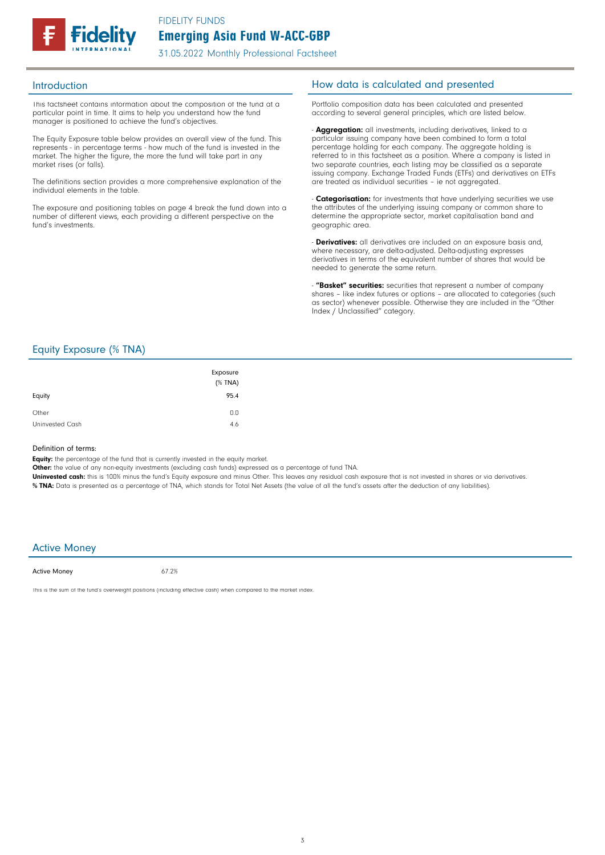

31.05.2022 Monthly Professional Factsheet

This factsheet contains information about the composition of the fund at a particular point in time. It aims to help you understand how the fund manager is positioned to achieve the fund's objectives.

The Equity Exposure table below provides an overall view of the fund. This represents - in percentage terms - how much of the fund is invested in the market. The higher the figure, the more the fund will take part in any market rises (or falls).

The definitions section provides a more comprehensive explanation of the individual elements in the table.

The exposure and positioning tables on page 4 break the fund down into a number of different views, each providing a different perspective on the fund's investments.

### Introduction **Introduction How data is calculated and presented**

Portfolio composition data has been calculated and presented according to several general principles, which are listed below.

- **Aggregation:** all investments, including derivatives, linked to a particular issuing company have been combined to form a total percentage holding for each company. The aggregate holding is referred to in this factsheet as a position. Where a company is listed in two separate countries, each listing may be classified as a separate issuing company. Exchange Traded Funds (ETFs) and derivatives on ETFs are treated as individual securities – ie not aggregated.

**Categorisation:** for investments that have underlying securities we use the attributes of the underlying issuing company or common share to determine the appropriate sector, market capitalisation band and geographic area.

- **Derivatives:** all derivatives are included on an exposure basis and, where necessary, are delta-adjusted. Delta-adjusting expresses derivatives in terms of the equivalent number of shares that would be needed to generate the same return.

"Basket" securities: securities that represent a number of company shares - like index futures or options - are allocated to categories (such as sector) whenever possible. Otherwise they are included in the "Other Index / Unclassified" category.

### Equity Exposure (% TNA)

| Equity          | Exposure<br>$(%$ (% TNA)<br>95.4 |
|-----------------|----------------------------------|
| Other           | 0.0                              |
| Uninvested Cash | 4.6                              |

#### Definition of terms:

Equity: the percentage of the fund that is currently invested in the equity market.

Other: the value of any non-equity investments (excluding cash funds) expressed as a percentage of fund TNA.

Uninvested cash: this is 100% minus the fund's Equity exposure and minus Other. This leaves any residual cash exposure that is not invested in shares or via derivatives. % TNA: Data is presented as a percentage of TNA, which stands for Total Net Assets (the value of all the fund's assets after the deduction of any liabilities).

#### Active Money

Active Money

67.2%

This is the sum of the fund's overweight positions (including effective cash) when compared to the market index.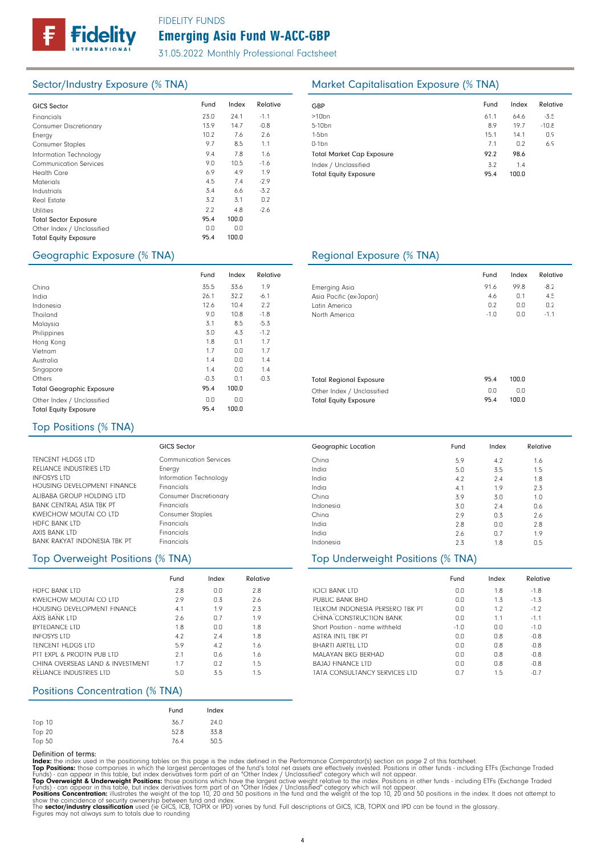# **delity**

# Emerging Asia Fund W-ACC-GBP FIDELITY FUNDS

31.05.2022 Monthly Professional Factsheet

| <b>GICS Sector</b>            | Fund | Index | Relative | GBP              |
|-------------------------------|------|-------|----------|------------------|
|                               |      |       |          |                  |
| Financials                    | 23.0 | 24.1  | $-1.1$   | >10 <sub>k</sub> |
| <b>Consumer Discretionary</b> | 13.9 | 14.7  | $-0.8$   | $5 - 10$         |
| Energy                        | 10.2 | 7.6   | 2.6      | 1-5b             |
| Consumer Staples              | 9.7  | 8.5   | 1.1      | $0-1b$           |
| Information Technology        | 9.4  | 7.8   | 1.6      | Tota             |
| <b>Communication Services</b> | 9.0  | 10.5  | $-1.6$   | Inde             |
| Health Care                   | 6.9  | 4.9   | 1.9      | Tota             |
| <b>Materials</b>              | 4.5  | 7.4   | $-2.9$   |                  |
| Industrials                   | 3.4  | 6.6   | $-3.2$   |                  |
| Real Estate                   | 3.2  | 3.1   | 0.2      |                  |
| <b>Utilities</b>              | 2.2  | 4.8   | $-2.6$   |                  |
| <b>Total Sector Exposure</b>  | 95.4 | 100.0 |          |                  |
| Other Index / Unclassified    | 0.0  | 0.0   |          |                  |
| <b>Total Equity Exposure</b>  | 95.4 | 100.0 |          |                  |
|                               |      |       |          |                  |

# Sector/Industry Exposure (% TNA) Market Capitalisation Exposure (% TNA)

| GBP                              | Fund | Index | Relative |
|----------------------------------|------|-------|----------|
| $>10$ bn                         | 61.1 | 64.6  | $-3.5$   |
| 5-10 <sub>bn</sub>               | 8.9  | 19.7  | $-10.8$  |
| $1-5$ bn                         | 15.1 | 14.1  | 0.9      |
| $0-1$ bn                         | 7.1  | 0.2   | 6.9      |
| <b>Total Market Cap Exposure</b> | 92.2 | 98.6  |          |
| Index / Unclassified             | 3.2  | 1.4   |          |
| <b>Total Equity Exposure</b>     | 95.4 | 100.0 |          |

# Geographic Exposure (% TNA) Regional Exposure (% TNA)

|                                  | Fund   | Index | Relative |                                |
|----------------------------------|--------|-------|----------|--------------------------------|
| China                            | 35.5   | 33.6  | 1.9      | <b>Emerging Asia</b>           |
| India                            | 26.1   | 32.2  | $-6.1$   | Asia Pacific (ex-Japan)        |
| Indonesia                        | 12.6   | 10.4  | 2.2      | Latin America                  |
| Thailand                         | 9.0    | 10.8  | $-1.8$   | North America                  |
| Malaysia                         | 3.1    | 8.5   | $-5.3$   |                                |
| Philippines                      | 3.0    | 4.3   | $-1.2$   |                                |
| Hong Kong                        | 1.8    | 0.1   | 1.7      |                                |
| Vietnam                          | 1.7    | 0.0   | 1.7      |                                |
| Australia                        | 1.4    | 0.0   | 1.4      |                                |
| Singapore                        | 1.4    | 0.0   | 1.4      |                                |
| Others                           | $-0.3$ | 0.1   | $-0.3$   | <b>Total Regional Exposure</b> |
| <b>Total Geographic Exposure</b> | 95.4   | 100.0 |          | Other Index / Unclassified     |
| Other Index / Unclassified       | 0.0    | 0.0   |          | <b>Total Equity Exposure</b>   |
| <b>Total Equity Exposure</b>     | 95.4   | 100.0 |          |                                |

|                         | Fund   | Index | Relative |  |
|-------------------------|--------|-------|----------|--|
| Emerging Asia           | 91.6   | 99.8  | $-8.2$   |  |
| Asia Pacific (ex-Japan) | 4.6    | 0.1   | 4.5      |  |
| Latin America           | 0.2    | 0.0   | 0.2      |  |
| North America           | $-1.0$ | 0.0   | $-1.1$   |  |
|                         |        |       |          |  |
|                         |        |       |          |  |
|                         |        |       |          |  |

0.0 1.8 -1.8 Fund Index Relative

4.2 3.5 2.4 1.9 3.0  $2.4$ 0.3 0.0 0.7 1.8

Fund Index Relative

1.3 1.2 1.1 0.0 0.8 0.8 0.8 0.8 1.5  $-1.3$ -1.2 -1.1 -1.0 -0.8 -0.8 -0.8 -0.8 -0.7

1.6 1.5 1.8 2.3 1.0 0.6 2.6 2.8 1.9  $0.5$ 

 $0.0$  $0.0$ 0.0 -1.0 0.0  $0.0$  $0.0$ 0.0 0.7

5.9 5.0 4.2 4.1 3.9 3.0 2.9 2.8 2.6  $2.3$ 

| <b>Total Regional Exposure</b> | 95.4 | 100.0 |
|--------------------------------|------|-------|
| Other Index / Unclassified     | n n  | n n   |
| <b>Total Equity Exposure</b>   | 95.4 | 100.0 |

## Top Positions (% TNA)

|                                 | GICS Sector                   |
|---------------------------------|-------------------------------|
| <b>TENCENT HLDGS LTD</b>        | Communication Services        |
| RELIANCE INDUSTRIES LTD         | Energy                        |
| <b>INFOSYS LTD</b>              | Information Technology        |
| HOUSING DEVELOPMENT FINANCE     | Financials                    |
| ALIBABA GROUP HOLDING LTD       | <b>Consumer Discretionary</b> |
| <b>RANK CENTRAL ASIA TRK PT</b> | Financials                    |
| KWFICHOW MOUTAL CO LTD          | <b>Consumer Staples</b>       |
| <b>HDFC BANK LTD</b>            | Financials                    |
| <b>AXIS BANK LTD</b>            | Financials                    |
| BANK RAKYAT INDONESIA TBK PT    | Financials                    |

# Top Overweight Positions (% TNA) Top Underweight Positions (% TNA)

|                                  | Fund | Index | Relative |
|----------------------------------|------|-------|----------|
| <b>HDFC BANK LTD</b>             | 2.8  | 0.0   | 2.8      |
| KWFICHOW MOUTAL CO LTD           | 2.9  | 0.3   | 2.6      |
| HOUSING DEVELOPMENT FINANCE      | 4.1  | 1.9   | 2.3      |
| <b>AXIS BANK LTD</b>             | 2.6  | 0.7   | 1.9      |
| <b>RYTEDANCE LTD</b>             | 1.8  | 0.0   | 1.8      |
| <b>INFOSYS LTD</b>               | 4.2  | 7.4   | 1.8      |
| <b>TENCENT HLDGS LTD</b>         | 5.9  | 4.2   | 1.6      |
| PTT FXPL & PRODTN PUB LTD        | 2.1  | 0.6   | 1.6      |
| CHINA OVERSEAS LAND & INVESTMENT | 17   | 0.2   | 1.5      |
| RELIANCE INDUSTRIES LTD          | 5.0  | 3.5   | 1.5      |

## Positions Concentration (% TNA)

|        | Fund | Index |
|--------|------|-------|
| Top 10 | 36.7 | 24.0  |
| Top 20 | 52.8 | 33.8  |
| Top 50 | 76.4 | 50.5  |

Definition of terms:<br>
Top Positions: these din the positioning tables on this page is the index defined in the Performance Comparator(s) section on page 2 of this factsheet.<br>
ITOP Positions: those companies in which the la

China India India India China Indonesia China India India Indonesia

Geographic Location

ICICI BANK LTD PUBLIC BANK BHD

TELKOM INDONESIA PERSERO TBK PT CHINA CONSTRUCTION BANK Short Position - name withheld ASTRA INTL TBK PT BHARTI AIRTEL LTD MALAYAN BKG BERHAD BAJAJ FINANCE LTD

TATA CONSULTANCY SERVICES LTD

#### 4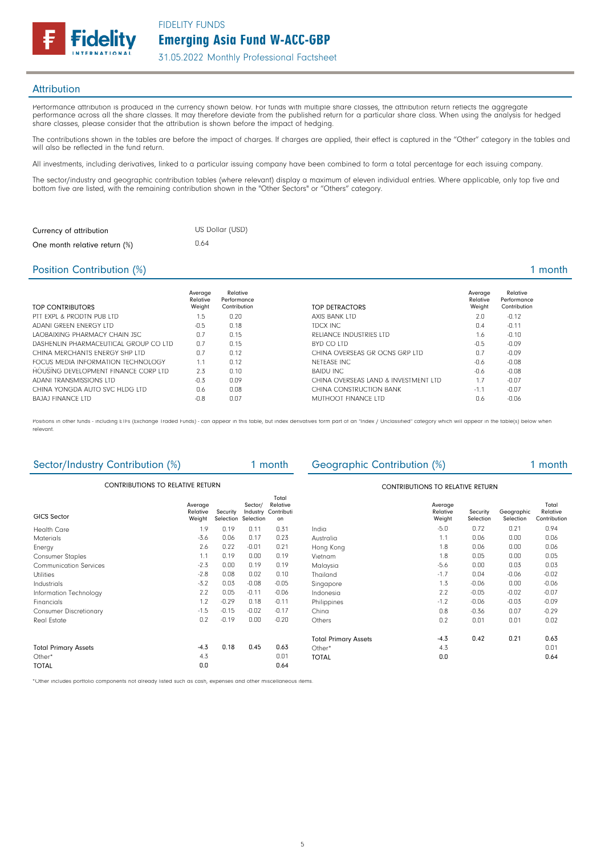Emerging Asia Fund W-ACC-GBP FIDELITY FUNDS



31.05.2022 Monthly Professional Factsheet

#### **Attribution**

Performance attribution is produced in the currency shown below. For funds with multiple share classes, the attribution return reflects the aggregate performance across all the share classes. It may therefore deviate from the published return for a particular share class. When using the analysis for hedged share classes, please consider that the attribution is shown before the impact of hedging.

The contributions shown in the tables are before the impact of charges. If charges are applied, their effect is captured in the "Other" category in the tables and will also be reflected in the fund return.

All investments, including derivatives, linked to a particular issuing company have been combined to form a total percentage for each issuing company.

The sector/industry and geographic contribution tables (where relevant) display a maximum of eleven individual entries. Where applicable, only top five and bottom five are listed, with the remaining contribution shown in the "Other Sectors" or "Others" category.

| Currency of attribution       | US Dollar (USD) |
|-------------------------------|-----------------|
| One month relative return (%) | 0.64            |

### Position Contribution (%) 2 and 2 and 2 and 2 and 2 and 2 and 2 and 2 and 2 and 2 and 2 and 2 and 2 and 2 and 2 and 2 and 2 and 2 and 2 and 2 and 2 and 2 and 2 and 2 and 2 and 2 and 2 and 2 and 2 and 2 and 2 and 2 and 2 an

| TOP CONTRIBUTORS                      | Average<br>Relative<br>Weight | Relative<br>Performance<br>Contribution | TOP DETRACTORS                       | Average<br>Relative<br>Weight | Relative<br>Performance<br>Contribution |
|---------------------------------------|-------------------------------|-----------------------------------------|--------------------------------------|-------------------------------|-----------------------------------------|
| PTT FXPL & PRODTN PUB LTD             | 1.5                           | 0.20                                    | AXIS BANK LTD                        | 2.0                           | $-0.12$                                 |
| ADANI GREEN ENERGY LTD                | $-0.5$                        | 0.18                                    | TDCX INC                             | 0.4                           | $-0.11$                                 |
| LAOBAIXING PHARMACY CHAIN JSC         | 0.7                           | 0.15                                    | RELIANCE INDUSTRIES LTD              | 1.6                           | $-0.10$                                 |
| DASHENLIN PHARMACEUTICAL GROUP CO LTD | 0.7                           | 0.15                                    | BYD CO LTD                           | $-0.5$                        | $-0.09$                                 |
| CHINA MERCHANTS ENFRGY SHP LTD        | 0.7                           | 0.12                                    | CHINA OVERSEAS GR OCNS GRP LTD       | 0.7                           | $-0.09$                                 |
| FOCUS MEDIA INFORMATION TECHNOLOGY    | $\overline{1}$                | 0.12                                    | NFTFASF INC                          | $-0.6$                        | $-0.08$                                 |
| HOUSING DEVELOPMENT FINANCE CORP LTD  | 2.3                           | 0.10                                    | BAIDU INC                            | $-0.6$                        | $-0.08$                                 |
| ADANI TRANSMISSIONS LTD               | $-0.3$                        | 0.09                                    | CHINA OVERSEAS LAND & INVESTMENT LTD | 1.7                           | $-0.07$                                 |
| CHINA YONGDA AUTO SVC HLDG LTD        | 0.6                           | 0.08                                    | CHINA CONSTRUCTION BANK              | $-1.1$                        | $-0.07$                                 |
| <b>BAJAJ FINANCE LTD</b>              | $-0.8$                        | 0.07                                    | MUTHOOT FINANCE LTD                  | 0.6                           | $-0.06$                                 |

Positions in other funds - including ETFs (Exchange Traded Funds) - can appear in this table, but index derivatives form part of an "Index / Unclassified" category which will appear in the table(s) below when relevant.

| Sector/Industry Contribution (%)        |                               |          |                                            | 1 month                                 | <b>Geographic Contribution (%)</b> |                               |                       |                         | 1 month                           |
|-----------------------------------------|-------------------------------|----------|--------------------------------------------|-----------------------------------------|------------------------------------|-------------------------------|-----------------------|-------------------------|-----------------------------------|
| <b>CONTRIBUTIONS TO RELATIVE RETURN</b> |                               |          |                                            | <b>CONTRIBUTIONS TO RELATIVE RETURN</b> |                                    |                               |                       |                         |                                   |
| GICS Sector                             | Average<br>Relative<br>Weight | Security | Sector/<br>Industry<br>Selection Selection | Total<br>Relative<br>Contributi<br>on   |                                    | Average<br>Relative<br>Weight | Security<br>Selection | Geographic<br>Selection | Total<br>Relative<br>Contribution |
| <b>Health Care</b>                      | 1.9                           | 0.19     | 0.11                                       | 0.31                                    | India                              | $-5.0$                        | 0.72                  | 0.21                    | 0.94                              |
| <b>Materials</b>                        | $-3.6$                        | 0.06     | 0.17                                       | 0.23                                    | Australia                          | 1.1                           | 0.06                  | 0.00                    | 0.06                              |
| Energy                                  | 2.6                           | 0.22     | $-0.01$                                    | 0.21                                    | Hong Kong                          | 1.8                           | 0.06                  | 0.00                    | 0.06                              |
| <b>Consumer Staples</b>                 | 1.1                           | 0.19     | 0.00                                       | 0.19                                    | Vietnam                            | 1.8                           | 0.05                  | 0.00                    | 0.05                              |
| <b>Communication Services</b>           | $-2.3$                        | 0.00     | 0.19                                       | 0.19                                    | Malaysia                           | $-5.6$                        | 0.00                  | 0.03                    | 0.03                              |
| <b>Utilities</b>                        | $-2.8$                        | 0.08     | 0.02                                       | 0.10                                    | Thailand                           | $-1.7$                        | 0.04                  | $-0.06$                 | $-0.02$                           |
| Industrials                             | $-3.2$                        | 0.03     | $-0.08$                                    | $-0.05$                                 | Singapore                          | 1.3                           | $-0.06$               | 0.00                    | $-0.06$                           |
| Information Technology                  | 2.2                           | 0.05     | $-0.11$                                    | $-0.06$                                 | Indonesia                          | 2.2                           | $-0.05$               | $-0.02$                 | $-0.07$                           |
| Financials                              | 1.2                           | $-0.29$  | 0.18                                       | $-0.11$                                 | Philippines                        | $-1.2$                        | $-0.06$               | $-0.03$                 | $-0.09$                           |
| <b>Consumer Discretionary</b>           | $-1.5$                        | $-0.15$  | $-0.02$                                    | $-0.17$                                 | China                              | 0.8                           | $-0.36$               | 0.07                    | $-0.29$                           |
| Real Estate                             | 0.2                           | $-0.19$  | 0.00                                       | $-0.20$                                 | Others                             | 0.2                           | 0.01                  | 0.01                    | 0.02                              |
|                                         |                               |          |                                            |                                         | <b>Total Primary Assets</b>        | $-4.3$                        | 0.42                  | 0.21                    | 0.63                              |
| <b>Total Primary Assets</b>             | $-4.3$                        | 0.18     | 0.45                                       | 0.63                                    | Other*                             | 4.3                           |                       |                         | 0.01                              |
| Other*                                  | 4.3                           |          |                                            | 0.01                                    | <b>TOTAL</b>                       | 0.0                           |                       |                         | 0.64                              |
| <b>TOTAL</b>                            | 0.0                           |          |                                            | 0.64                                    |                                    |                               |                       |                         |                                   |

\*Other includes portfolio components not already listed such as cash, expenses and other miscellaneous items.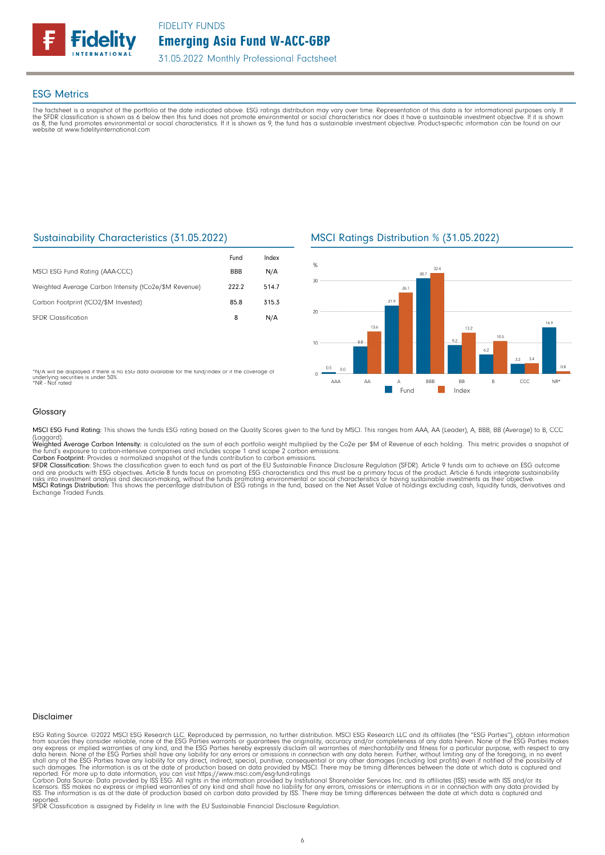

#### ESG Metrics

The factsheet is a snapshot of the portfolio at the date indicated above. ESG ratings distribution may vary over time. Representation of this data is for informational purposes only. If<br>the SFDR classification is shown as website at www.fidelityinternational.com

### Sustainability Characteristics (31.05.2022)

|                                                       | Fund       | Index |
|-------------------------------------------------------|------------|-------|
| MSCI ESG Fund Rating (AAA-CCC)                        | <b>BBB</b> | N/A   |
| Weighted Average Carbon Intensity (tCo2e/\$M Revenue) | 222.2      | 514.7 |
| Carbon Footprint (tCO2/\$M Invested)                  | 85.8       | 315.3 |
| <b>SEDR</b> Classification                            | 8          | N/A   |

\*N/A will be displayed if there is no ESG data available for the fund/index or if the coverage of underlying securities is under 50%. \*NR - Not rated

### MSCI Ratings Distribution % (31.05.2022)



Glossary

MSCI ESG Fund Rating: This shows the funds ESG rating based on the Quality Scores given to the fund by MSCI. This ranges from AAA, AA (Leader), A, BBB, BB (Average) to B, CCC

(Laggard).<br>**Weighted Average Carbon Intensity**: is calculated as the sum of each portfolio weight multiplied by the Co2e per \$M of Revenue of each holding. This metric provides a snapshot o

the fund's exposure to carbon-intensive companies and includes scope 1 and scope 2 carbon emissions.<br>**Carbon Footprint**: Provides a normalized snapshot of the funds contribution to carbon emissions.<br>**SFDR Classification:** and are products with ESG objectives. Article 8 funds focus on promoting ESG characteristics and this must be a primary focus of the product. Article 6 funds integrate sustainability<br>risks into investment analysis and deci

#### Disclaimer

ESG Rating Source: ©2022 MSCI ESG Research LLC. Reproduced by permission, no further distribution. MSCI ESG Research LLC and its affiliates (the "ESG Parties"), obtain information<br>from sources they consider reliable, none

reported. SFDR Classification is assigned by Fidelity in line with the EU Sustainable Financial Disclosure Regulation.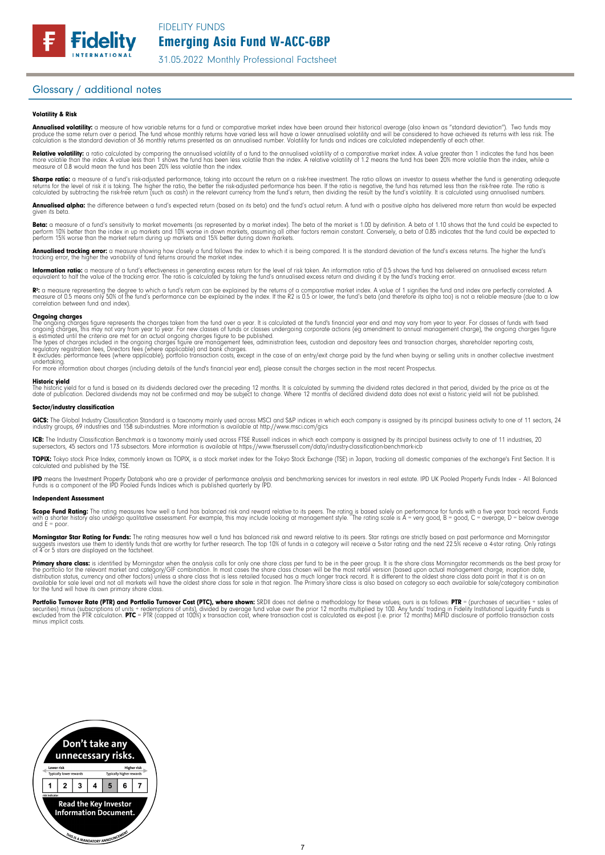31.05.2022 Monthly Professional Factsheet

#### Glossary / additional notes

#### Volatility & Risk

**Annualised volatility:** a measure of how variable returns for a fund or comparative market index have been around their historical average (also known as "standard deviation"). Two funds may<br>produce the same return over a calculation is the standard deviation of 36 monthly returns presented as an annualised number. Volatility for funds and indices are calculated independently of each other

**Relative volatility:** a ratio calculated by comparing the annualised volatility of a fund to the annualised volatility of a comparative market index. A value greater than 1 indicates the fund has been<br>more volatile than t measure of 0.8 would mean the fund has been 20% less volatile than the index.

**Sharpe ratio:** a measure of a fund's risk-adjusted performance, taking into account the return on a risk-free investment. The ratio allows an investor to assess whether the fund is generating adequate the tund is generati

Annualised alpha: the difference between a fund's expected return (based on its beta) and the fund's actual return. A fund with a positive alpha has delivered more return than would be expected given its beta

**Beta:** a measure of a fund's sensitivity to market movements (as represented by a market index). The beta of the market is 1.00 by definition. A beta of 1.10 shows that the fund could be expected to<br>perform 10% better tha perform 15% worse than the market return during up markets and 15% better during down markets.

**Annualised tracking error:** a measure showing how closely a tund tollows the index to which it is being compared. It is the standard deviation of the fund's excess returns. The higher the fund's<br>tracking error, the higher

**Information ratio:** a measure ot a tund's eftectiveness in generating excess return for the level of risk taken. An information ratio of U.5 shows the fund has delivered an annualised excess return<br>equivalent to half the

Rº: a measure representing the degree to which a fund's return can be explained by the returns of a comparative market index. A value of 1 signifies the fund and index are perfectly correlated. A<br>measure of 0.5 means only correlation between fund and index).

**Ongoing charges** figure represents the charges taken from the fund over a year. It is calculated at the fund's financial year end and may vary from year to year. For classes of funds with fixed ongoing charges figure repr

For more information about charges (including details of the fund's financial year end), please consult the charges section in the most recent Prospectus.

**Historic yield**<br>The historic yield for a fund is based on its dividends declared over the preceding 12 months. It is calculated by summing the dividend rates declared in that period, divided by the price as at the date of publication. Declared dividends may not be confirmed and may be subject to change. Where 12 months of declared dividend data does not exist a historic yield will not be published.

#### Sector/industry classification

GICS: The Global Industry Classification Standard is a taxonomy mainly used across MSCI and S&P indices in which each company is assigned by its principal business activity to one of 11 sectors, 24 industry groups, 69 industries and 158 sub-industries. More information is available at http://www.msci.com/gics

**ICB:** The Industry Classitication Benchmark is a taxonomy mainly used across FTSE Russell indices in which each company is assigned by its principal business activity to one of 11 industries, 20<br>supersectors, 45 sectors a

TOPIX: Tokyo stock Price Index, commonly known as TOPIX, is a stock market index for the Tokyo Stock Exchange (TSE) in Japan, tracking all domestic companies of the exchange's First Section. It is calculated and published by the TSE.

**IPD** means the Investment Property Databank who are a provider of performance analysis and benchmarking services for investors in real estate. IPD UK Pooled Property Funds Index - All Balanced<br>Funds is a component of the

#### Independent Assessment

**Scope Fund Rating:** The rating measures how well a fund has balanced risk and reward relative to its peers. The rating is based solely on performance for funds with a five year track record. Funds<br>with a shorter history a and  $E = poor$ 

**Morningstar Star Rating for Funds:** The rating measures how well a tund has balanced risk and reward relative to its peers. Star ratings are strictly based on past performance and Morningstar<br>suggests investors use them t suggests investors use them to identify turids to 4 or 5 stars are displayed on the factsheet.

**Primary share class:** is identified by Morningstar when the analysis calls for only one share class per fund to be in the peer group. It is the share class Morningstar recommends as the best proxy for the best proxy for c for the fund will have its own primary share class.

Portfolio Turnover Rate (PTR) and Portfolio Turnover Cost (PTC), where shown: SRDII does not define a methodology for these values; ours is as follows: PTR = (purchases of securities + sales of<br>securities) minus (subscript minus implicit costs.